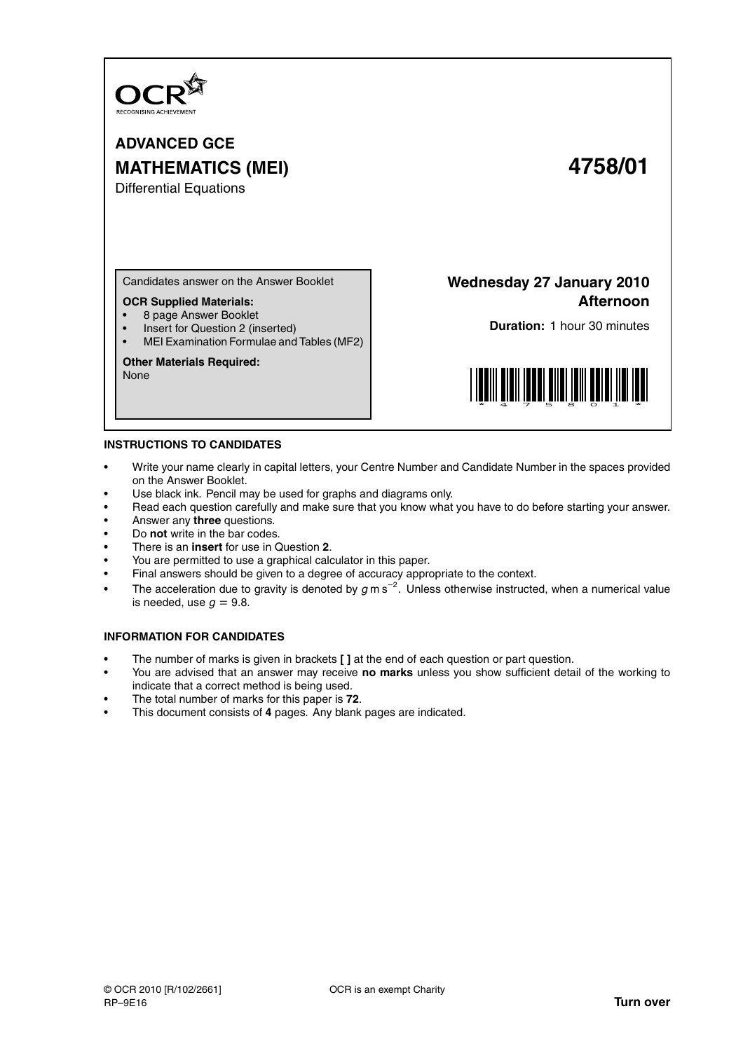

**ADVANCED GCE MATHEMATICS (MEI) 4758/01** Differential Equations

Candidates answer on the Answer Booklet

## **OCR Supplied Materials:**

- 8 page Answer Booklet
- Insert for Question 2 (inserted)
- MEI Examination Formulae and Tables (MF2)

## **Other Materials Required:**

None

**Wednesday 27 January 2010 Afternoon**

**Duration:** 1 hour 30 minutes



## **INSTRUCTIONS TO CANDIDATES**

- Write your name clearly in capital letters, your Centre Number and Candidate Number in the spaces provided on the Answer Booklet.
- Use black ink. Pencil may be used for graphs and diagrams only.
- Read each question carefully and make sure that you know what you have to do before starting your answer.
- Answer any **three** questions.
- Do **not** write in the bar codes.
- There is an **insert** for use in Question **2**.
- You are permitted to use a graphical calculator in this paper.
- Final answers should be given to a degree of accuracy appropriate to the context.
- The acceleration due to gravity is denoted by  $g$  m s<sup>-2</sup>. Unless otherwise instructed, when a numerical value is needed, use  $q = 9.8$ .

## **INFORMATION FOR CANDIDATES**

- The number of marks is given in brackets **[ ]** at the end of each question or part question.
- You are advised that an answer may receive **no marks** unless you show sufficient detail of the working to indicate that a correct method is being used.
- The total number of marks for this paper is **72**.
- This document consists of **4** pages. Any blank pages are indicated.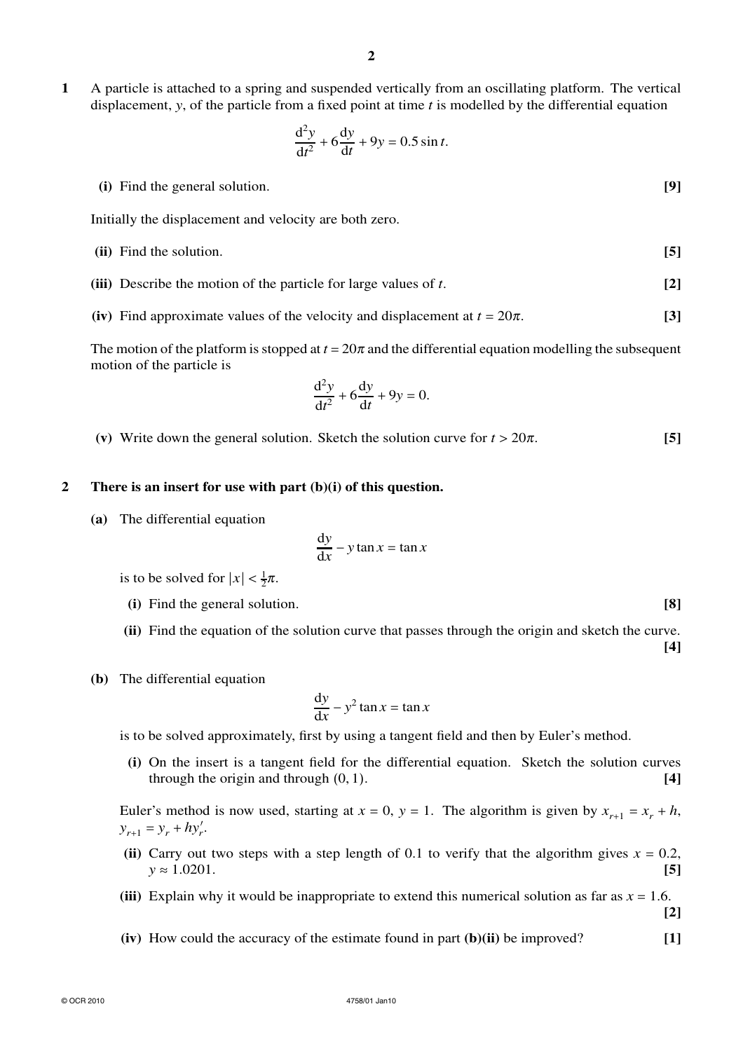**1** A particle is attached to a spring and suspended vertically from an oscillating platform. The vertical displacement, *y*, of the particle from a fixed point at time *t* is modelled by the differential equation

$$
\frac{\mathrm{d}^2 y}{\mathrm{d}t^2} + 6\frac{\mathrm{d}y}{\mathrm{d}t} + 9y = 0.5\sin t.
$$

**(i)** Find the general solution. **[9]**

Initially the displacement and velocity are both zero.

- **(ii)** Find the solution. **[5]**
- **(iii)** Describe the motion of the particle for large values of *t*. **[2]**
- **(iv)** Find approximate values of the velocity and displacement at  $t = 20\pi$ . **[3]**

The motion of the platform is stopped at  $t = 20\pi$  and the differential equation modelling the subsequent motion of the particle is

$$
\frac{\mathrm{d}^2 y}{\mathrm{d}t^2} + 6\frac{\mathrm{d}y}{\mathrm{d}t} + 9y = 0.
$$

(v) Write down the general solution. Sketch the solution curve for  $t > 20\pi$ . [5]

## **2 There is an insert for use with part (b)(i) of this question.**

**(a)** The differential equation

$$
\frac{\mathrm{d}y}{\mathrm{d}x} - y \tan x = \tan x
$$

is to be solved for  $|x| < \frac{1}{2}\pi$ .

- **(i)** Find the general solution. **[8]**
- **(ii)** Find the equation of the solution curve that passes through the origin and sketch the curve.
- **(b)** The differential equation

$$
\frac{\mathrm{d}y}{\mathrm{d}x} - y^2 \tan x = \tan x
$$

is to be solved approximately, first by using a tangent field and then by Euler's method.

**(i)** On the insert is a tangent field for the differential equation. Sketch the solution curves through the origin and through (0, 1). **[4]**

Euler's method is now used, starting at  $x = 0$ ,  $y = 1$ . The algorithm is given by  $x_{r+1} = x_r + h$ ,  $y_{r+1} = y_r + hy'_r$ .

- (ii) Carry out two steps with a step length of 0.1 to verify that the algorithm gives  $x = 0.2$ ,  $y \approx 1.0201$ . **[5]**
- **(iii)** Explain why it would be inappropriate to extend this numerical solution as far as  $x = 1.6$ .
- **(iv)** How could the accuracy of the estimate found in part **(b)(ii)** be improved? **[1]**

**[4]**

**[2]**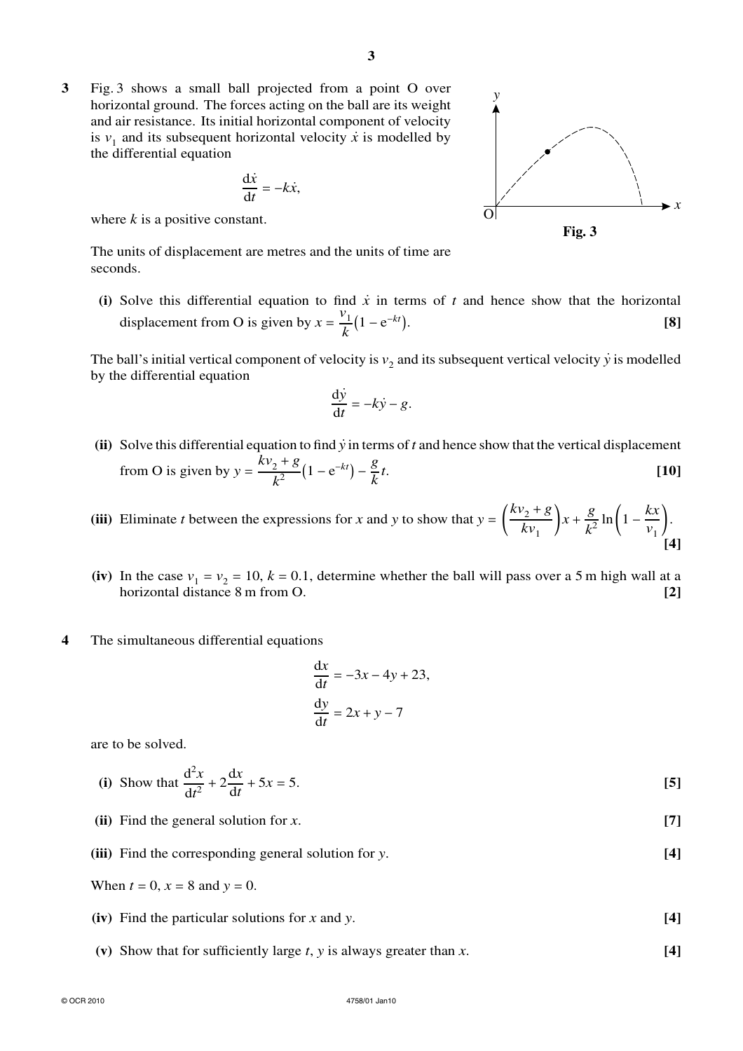**3** Fig. 3 shows a small ball projected from a point O over horizontal ground. The forces acting on the ball are its weight and air resistance. Its initial horizontal component of velocity is  $v_1$  and its subsequent horizontal velocity  $\dot{x}$  is modelled by the differential equation

$$
\frac{\mathrm{d}\dot{x}}{\mathrm{d}t} = -k\dot{x},
$$

where *k* is a positive constant.

The units of displacement are metres and the units of time are seconds.

**(i)** Solve this differential equation to find  $\dot{x}$  in terms of  $t$  and hence show that the horizontal displacement from O is given by  $x = \frac{v_1}{l}$  $\frac{1}{k}$ (1 – e <sup>−</sup>*kt*. **[8]**

The ball's initial vertical component of velocity is  $v_2$  and its subsequent vertical velocity  $\dot{y}$  is modelled by the differential equation

$$
\frac{\mathrm{d}\dot{y}}{\mathrm{d}t} = -k\dot{y} - g.
$$

- **(ii)** Solve this differential equation to find *y˙* in terms of *t* and hence show that the vertical displacement from O is given by  $y = \frac{kv_2 + g}{l^2}$  $\frac{2+g}{k^2}(1-e^{-kt})-\frac{g}{k}$ *k t*. **[10]**
- (iii) Eliminate *t* between the expressions for *x* and *y* to show that  $y = \left(\frac{kv_2 + g}{kv_2}\right)$  $\left(\frac{y_2+g}{kv_1}\right)x+\frac{g}{k^2}$  $\frac{g}{k^2}$  ln $\left(1 - \frac{kx}{v_1}\right)$  $\frac{1}{v_1}$ . **[4]**
- (iv) In the case  $v_1 = v_2 = 10$ ,  $k = 0.1$ , determine whether the ball will pass over a 5 m high wall at a horizontal distance 8 m from O. **[2]**
- **4** The simultaneous differential equations

$$
\frac{dx}{dt} = -3x - 4y + 23,
$$
  

$$
\frac{dy}{dt} = 2x + y - 7
$$

are to be solved.

(i) Show that 
$$
\frac{d^2x}{dt^2} + 2\frac{dx}{dt} + 5x = 5.
$$
 [5]

**(ii)** Find the general solution for *x*. **[7]**

**(iii)** Find the corresponding general solution for *y*. **[4]**

- **(iv)** Find the particular solutions for *x* and *y*. **[4]**
- **(v)** Show that for sufficiently large *t*, *y* is always greater than *x*. **[4]**

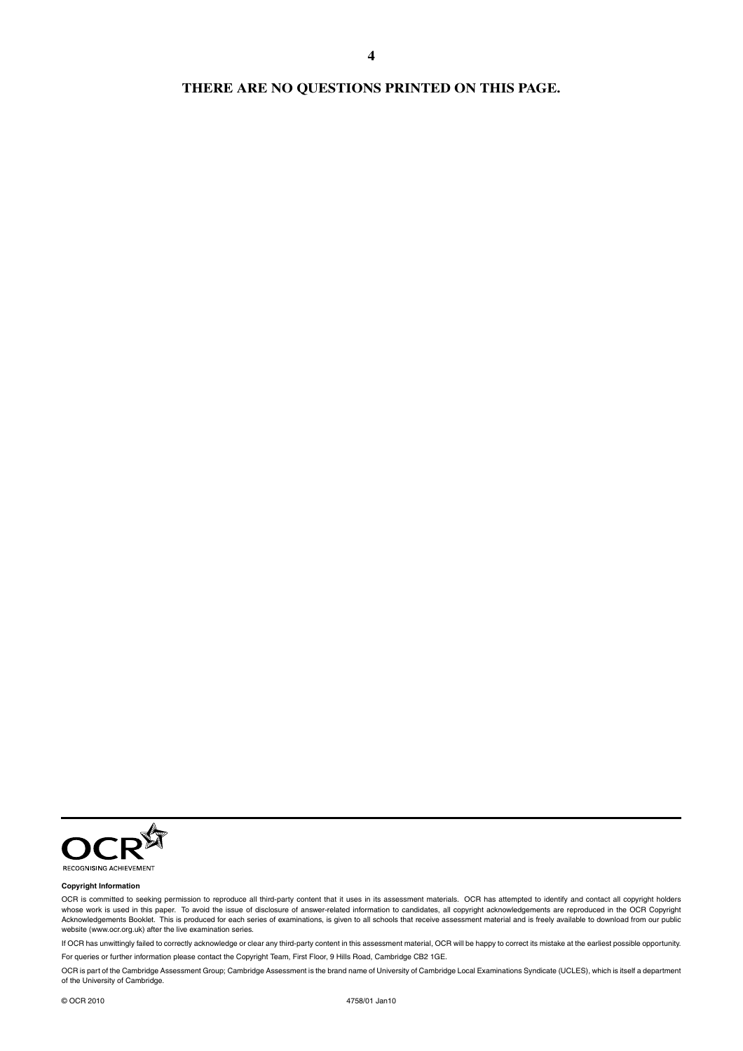## **THERE ARE NO QUESTIONS PRINTED ON THIS PAGE.**

**4**



### **Copyright Information**

OCR is committed to seeking permission to reproduce all third-party content that it uses in its assessment materials. OCR has attempted to identify and contact all copyright holders whose work is used in this paper. To avoid the issue of disclosure of answer-related information to candidates, all copyright acknowledgements are reproduced in the OCR Copyright Acknowledgements Booklet. This is produced for each series of examinations, is given to all schools that receive assessment material and is freely available to download from our public<br>website (www.ocr.org.uk) after the li

If OCR has unwittingly failed to correctly acknowledge or clear any third-party content in this assessment material, OCR will be happy to correct its mistake at the earliest possible opportunity. For queries or further information please contact the Copyright Team, First Floor, 9 Hills Road, Cambridge CB2 1GE.

OCR is part of the Cambridge Assessment Group; Cambridge Assessment is the brand name of University of Cambridge Local Examinations Syndicate (UCLES), which is itself a department of the University of Cambridge.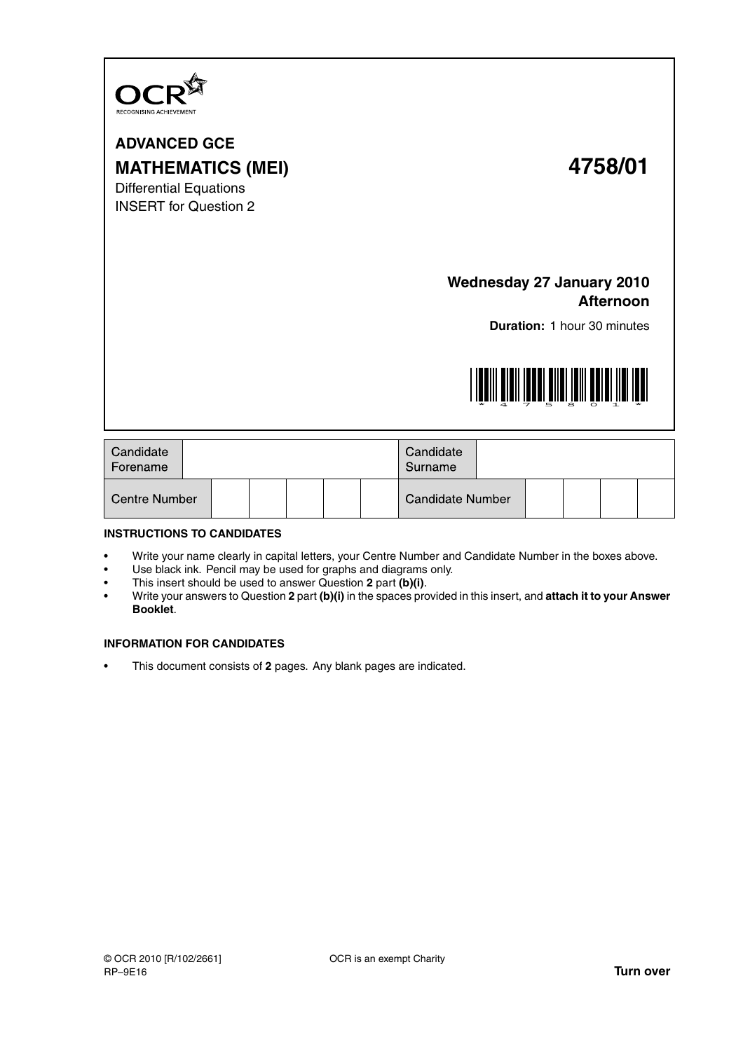

**ADVANCED GCE MATHEMATICS (MEI) 4758/01** Differential Equations INSERT for Question 2

# **Wednesday 27 January 2010 Afternoon**

**Duration:** 1 hour 30 minutes



| Candidate<br>Forename |  |  |  |  |  |  | Candidate<br>Surname    |  |  |  |  |  |
|-----------------------|--|--|--|--|--|--|-------------------------|--|--|--|--|--|
| <b>Centre Number</b>  |  |  |  |  |  |  | <b>Candidate Number</b> |  |  |  |  |  |

## **INSTRUCTIONS TO CANDIDATES**

- Write your name clearly in capital letters, your Centre Number and Candidate Number in the boxes above.
- Use black ink. Pencil may be used for graphs and diagrams only.
- This insert should be used to answer Question **2** part **(b)(i)**.
- Write your answers to Question **2** part **(b)(i)** in the spaces provided in this insert, and **attach it to your Answer Booklet**.

## **INFORMATION FOR CANDIDATES**

• This document consists of **2** pages. Any blank pages are indicated.